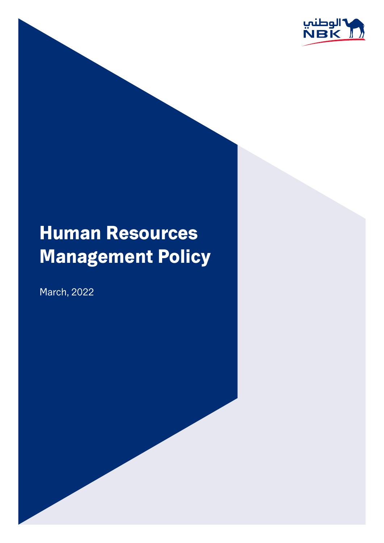

# **Human Resources Management Policy**

March, 2022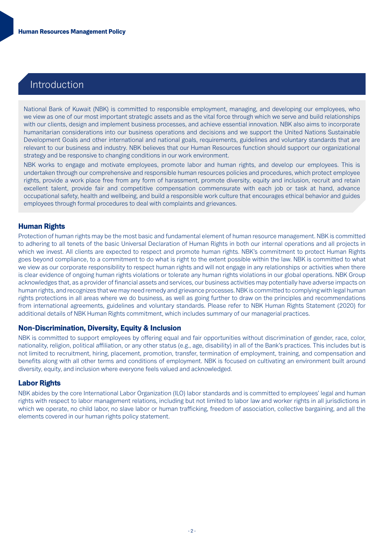# Introduction

National Bank of Kuwait (NBK) is committed to responsible employment, managing, and developing our employees, who we view as one of our most important strategic assets and as the vital force through which we serve and build relationships with our clients, design and implement business processes, and achieve essential innovation. NBK also aims to incorporate humanitarian considerations into our business operations and decisions and we support the United Nations Sustainable Development Goals and other international and national goals, requirements, guidelines and voluntary standards that are relevant to our business and industry. NBK believes that our Human Resources function should support our organizational strategy and be responsive to changing conditions in our work environment.

NBK works to engage and motivate employees, promote labor and human rights, and develop our employees. This is undertaken through our comprehensive and responsible human resources policies and procedures, which protect employee rights, provide a work place free from any form of harassment, promote diversity, equity and inclusion, recruit and retain excellent talent, provide fair and competitive compensation commensurate with each job or task at hand, advance occupational safety, health and wellbeing, and build a responsible work culture that encourages ethical behavior and guides employees through formal procedures to deal with complaints and grievances.

# **Human Rights**

Protection of human rights may be the most basic and fundamental element of human resource management. NBK is committed to adhering to all tenets of the basic Universal Declaration of Human Rights in both our internal operations and all projects in which we invest. All clients are expected to respect and promote human rights. NBK's commitment to protect Human Rights goes beyond compliance, to a commitment to do what is right to the extent possible within the law. NBK is committed to what we view as our corporate responsibility to respect human rights and will not engage in any relationships or activities when there is clear evidence of ongoing human rights violations or tolerate any human rights violations in our global operations. NBK Group acknowledges that, as a provider of financial assets and services, our business activities may potentially have adverse impacts on human rights, and recognizes that we may need remedy and grievance processes. NBK is committed to complying with legal human rights protections in all areas where we do business, as well as going further to draw on the principles and recommendations from international agreements, guidelines and voluntary standards. Please refer to NBK Human Rights Statement (2020) for additional details of NBK Human Rights commitment, which includes summary of our managerial practices.

# **Non-Discrimination, Diversity, Equity & Inclusion**

NBK is committed to support employees by offering equal and fair opportunities without discrimination of gender, race, color, nationality, religion, political affiliation, or any other status (e.g., age, disability) in all of the Bank's practices. This includes but is not limited to recruitment, hiring, placement, promotion, transfer, termination of employment, training, and compensation and benefits along with all other terms and conditions of employment. NBK is focused on cultivating an environment built around diversity, equity, and inclusion where everyone feels valued and acknowledged.

# **Labor Rights**

NBK abides by the core International Labor Organization (ILO) labor standards and is committed to employees' legal and human rights with respect to labor management relations, including but not limited to labor law and worker rights in all jurisdictions in which we operate, no child labor, no slave labor or human trafficking, freedom of association, collective bargaining, and all the elements covered in our human rights policy statement.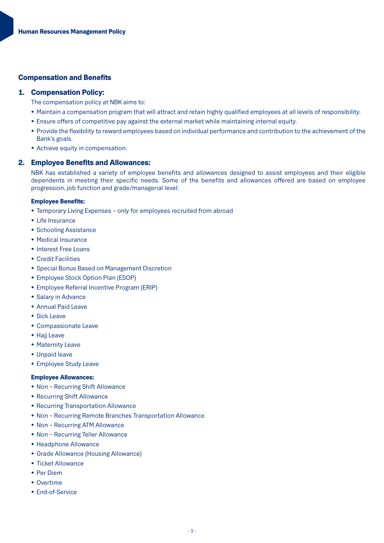# **Compensation and Benefits**

#### 1. Compensation Policy:

The compensation policy at NBK aims to:

- Maintain a compensation program that will attract and retain highly qualified employees at all levels of responsibility.
- Ensure offers of competitive pay against the external market while maintaining internal equity.
- Provide the flexibility to reward employees based on individual performance and contribution to the achievement of the Bank's goals.
- Achieve equity in compensation.

#### 2. Employee Benefits and Allowances:

NBK has established a variety of employee benefits and allowances designed to assist employees and their eligible dependents in meeting their specific needs. Some of the benefits and allowances offered are based on employee progression, job function and grade/managerial level:

#### **Employee Benefits:**

- Temporary Living Expenses only for employees recruited from abroad
- Life Insurance
- Schooling Assistance
- Medical Insurance
- Interest Free Loans
- Credit Facilities
- Special Bonus Based on Management Discretion
- Employee Stock Option Plan (ESOP)
- Employee Referral Incentive Program (ERIP)
- Salary in Advance
- Annual Paid Leave
- Sick Leave
- Compassionate Leave
- Hajj Leave
- Maternity Leave
- Unpaid leave
- Employee Study Leave

#### **Employee Allowances:**

- Non Recurring Shift Allowance
- Recurring Shift Allowance
- Recurring Transportation Allowance
- Non Recurring Remote Branches Transportation Allowance
- Non Recurring ATM Allowance
- Non Recurring Teller Allowance
- Headphone Allowance
- Grade Allowance (Housing Allowance)
- Ticket Allowance
- Per Diem
- Overtime
- End-of-Service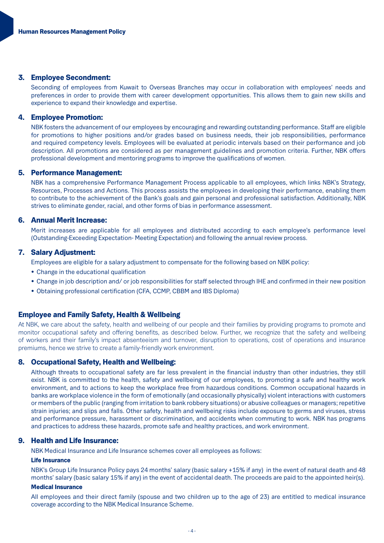# 3. Employee Secondment:

Seconding of employees from Kuwait to Overseas Branches may occur in collaboration with employees' needs and preferences in order to provide them with career development opportunities. This allows them to gain new skills and experience to expand their knowledge and expertise.

#### 4. Employee Promotion:

NBK fosters the advancement of our employees by encouraging and rewarding outstanding performance. Staff are eligible for promotions to higher positions and/or grades based on business needs, their job responsibilities, performance and required competency levels. Employees will be evaluated at periodic intervals based on their performance and job description. All promotions are considered as per management guidelines and promotion criteria. Further, NBK offers professional development and mentoring programs to improve the qualifications of women.

#### 5. Performance Management:

NBK has a comprehensive Performance Management Process applicable to all employees, which links NBK's Strategy, Resources. Processes and Actions. This process assists the employees in developing their performance, enabling them to contribute to the achievement of the Bank's goals and gain personal and professional satisfaction. Additionally, NBK strives to eliminate gender, racial, and other forms of bias in performance assessment.

# 6. Annual Merit Increase:

Merit increases are applicable for all employees and distributed according to each employee's performance level (Outstanding-Exceeding Expectation- Meeting Expectation) and following the annual review process.

# 7. Salary Adjustment:

Employees are eligible for a salary adjustment to compensate for the following based on NBK policy:

- Change in the educational qualification
- Change in job description and/or job responsibilities for staff selected through IHE and confirmed in their new position
- Obtaining professional certification (CFA, CCMP, CBBM and IBS Diploma)

#### **Employee and Family Safety, Health & Wellbeing**

At NBK, we care about the safety, health and wellbeing of our people and their families by providing programs to promote and monitor occupational safety and offering benefits, as described below. Further, we recognize that the safety and wellbeing of workers and their family's impact absenteeism and turnover, disruption to operations, cost of operations and insurance premiums, hence we strive to create a family-friendly work environment.

# 8. Occupational Safety, Health and Wellbeing:

Although threats to occupational safety are far less prevalent in the financial industry than other industries, they still exist. NBK is committed to the health, safety and wellbeing of our employees, to promoting a safe and healthy work environment, and to actions to keep the workplace free from hazardous conditions. Common occupational hazards in banks are workplace violence in the form of emotionally (and occasionally physically) violent interactions with customers or members of the public (ranging from irritation to bank robbery situations) or abusive colleagues or managers; repetitive strain injuries; and slips and falls. Other safety, health and wellbeing risks include exposure to germs and viruses, stress and performance pressure, harassment or discrimination, and accidents when commuting to work. NBK has programs and practices to address these hazards, promote safe and healthy practices, and work environment.

# 9. Health and Life Insurance:

NBK Medical Insurance and Life Insurance schemes cover all employees as follows:

#### Life Insurance

NBK's Group Life Insurance Policy pays 24 months' salary (basic salary +15% if any) in the event of natural death and 48 months' salary (basic salary 15% if any) in the event of accidental death. The proceeds are paid to the appointed heir(s).

#### **Medical Insurance**

All employees and their direct family (spouse and two children up to the age of 23) are entitled to medical insurance coverage according to the NBK Medical Insurance Scheme.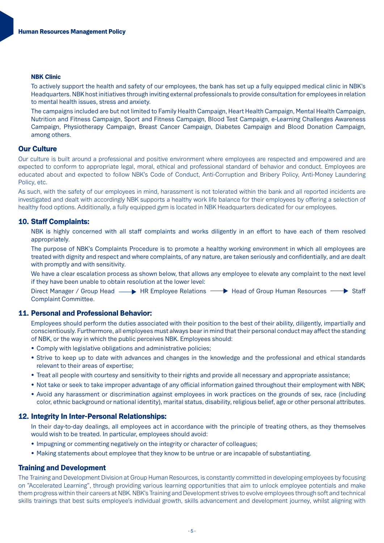#### **NBK Clinic**

To actively support the health and safety of our employees, the bank has set up a fully equipped medical clinic in NBK's Headquarters. NBK host initiatives through inviting external professionals to provide consultation for employees in relation to mental health issues, stress and anxiety.

The campaigns included are but not limited to Family Health Campaign, Heart Health Campaign, Mental Health Campaign, Nutrition and Fitness Campaign, Sport and Fitness Campaign, Blood Test Campaign, e-Learning Challenges Awareness Campaign, Physiotherapy Campaign, Breast Cancer Campaign, Diabetes Campaign and Blood Donation Campaign, among others.

# **Our Culture**

Our culture is built around a professional and positive environment where employees are respected and empowered and are expected to conform to appropriate legal, moral, ethical and professional standard of behavior and conduct. Employees are educated about and expected to follow NBK's Code of Conduct. Anti-Corruption and Bribery Policy, Anti-Money Laundering Policy, etc.

As such, with the safety of our employees in mind, harassment is not tolerated within the bank and all reported incidents are investigated and dealt with accordingly NBK supports a healthy work life balance for their employees by offering a selection of healthy food options. Additionally, a fully equipped gym is located in NBK Headquarters dedicated for our employees.

# 10. Staff Complaints:

NBK is highly concerned with all staff complaints and works diligently in an effort to have each of them resolved .appropriately

The purpose of NBK's Complaints Procedure is to promote a healthy working environment in which all employees are treated with dignity and respect and where complaints, of any nature, are taken seriously and confidentially, and are dealt with promptly and with sensitivity.

We have a clear escalation process as shown below, that allows any employee to elevate any complaint to the next level if they have been unable to obtain resolution at the lower level:

Direct Manager / Group Head  $\longrightarrow$  HR Employee Relations  $\longrightarrow$  Head of Group Human Resources  $\longrightarrow$  Staff Complaint Committee.

# 11. Personal and Professional Behavior:

Employees should perform the duties associated with their position to the best of their ability, diligently, impartially and conscientiously. Furthermore, all employees must always bear in mind that their personal conduct may affect the standing of NBK, or the way in which the public perceives NBK. Employees should:

- Comply with legislative obligations and administrative policies;
- Strive to keep up to date with advances and changes in the knowledge and the professional and ethical standards relevant to their areas of expertise:
- Treat all people with courtesy and sensitivity to their rights and provide all necessary and appropriate assistance;
- Not take or seek to take improper advantage of any official information gained throughout their employment with NBK;
- Avoid any harassment or discrimination against employees in work practices on the grounds of sex, race (including color, ethnic background or national identity), marital status, disability, religious belief, age or other personal attributes,

#### 12. Integrity In Inter-Personal Relationships:

In their day-to-day dealings, all employees act in accordance with the principle of treating others, as they themselves would wish to be treated. In particular, employees should avoid:

- Impugning or commenting negatively on the integrity or character of colleagues;
- . Making statements about employee that they know to be untrue or are incapable of substantiating.

#### **Training and Development**

The Training and Development Division at Group Human Resources, is constantly committed in developing employees by focusing on "Accelerated Learning", through providing various learning opportunities that aim to unlock employee potentials and make them progress within their careers at NBK. NBK's Training and Development strives to evolve employees through soft and technical skills trainings that best suits employee's individual growth, skills advancement and development journey, whilst aligning with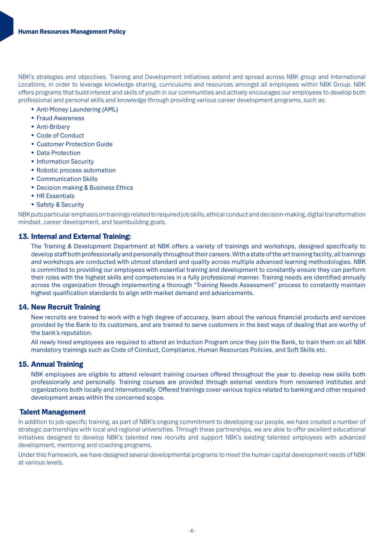NBK's strategies and objectives. Training and Development initiatives extend and spread across NBK group and International Locations, in order to leverage knowledge sharing, curriculums and resources amongst all employees within NBK Group. NBK offers programs that build interest and skills of youth in our communities and actively encourages our employees to develop both professional and personal skills and knowledge through providing various career development programs, such as:

- Anti-Money Laundering (AML)
- Fraud Awareness
- Anti-Briberv
- Code of Conduct
- Customer Protection Guide
- Data Protection
- Information Security
- Robotic process automation
- Communication Skills
- Decision making & Business Ethics
- HR Essentials
- Safety & Security

NBK puts particular emphasis on trainings related to required job skills, ethical conduct and decision-making, digital transformation mindset, career development, and teambuilding goals.

# 13. Internal and External Training:

The Training & Development Department at NBK offers a variety of trainings and workshops, designed specifically to develop staff both professionally and personally throughout their careers. With a state of the art training facility, all trainings and workshops are conducted with utmost standard and quality across multiple advanced learning methodologies. NBK is committed to providing our emplovees with essential training and development to constantly ensure they can perform their roles with the highest skills and competencies in a fully professional manner. Training needs are identified annually across the organization through implementing a thorough "Training Needs Assessment" process to constantly maintain highest qualification standards to align with market demand and advancements.

# 14. New Recruit Training

New recruits are trained to work with a high degree of accuracy, learn about the various financial products and services provided by the Bank to its customers, and are trained to serve customers in the best ways of dealing that are worthy of the bank's reputation.

All newly hired employees are required to attend an Induction Program once they join the Bank, to train them on all NBK mandatory trainings such as Code of Conduct, Compliance, Human Resources Policies, and Soft Skills etc.

# 15. Annual Training

NBK employees are eligible to attend relevant training courses offered throughout the year to develop new skills both professionally and personally. Training courses are provided through external vendors from renowned institutes and organizations both locally and internationally. Offered trainings cover various topics related to banking and other required development areas within the concerned scope.

# **Talent Management**

In addition to job-specific training, as part of NBK's ongoing commitment to developing our people, we have created a number of strategic partnerships with local and regional universities. Through these partnerships, we are able to offer excellent educational initiatives designed to develop NBK's talented new recruits and support NBK's existing talented employees with advanced development, mentoring and coaching programs.

Under this framework, we have designed several developmental programs to meet the human capital development needs of NBK at various levels.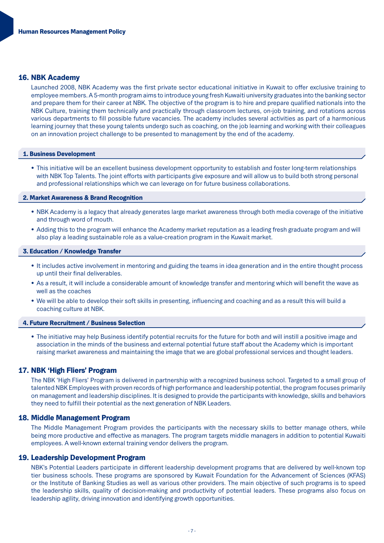# 16. NBK Academy

Launched 2008, NBK Academy was the first private sector educational initiative in Kuwait to offer exclusive training to employee members. A 5-month program aims to introduce young fresh Kuwaiti university graduates into the banking sector and prepare them for their career at NBK. The objective of the program is to hire and prepare qualified nationals into the NBK Culture, training them technically and practically through classroom lectures, on-job training, and rotations across various departments to fill possible future vacancies. The academy includes several activities as part of a harmonious learning journey that these young talents undergo such as coaching, on the job learning and working with their colleagues on an innovation project challenge to be presented to management by the end of the academy.

#### 1. Business Development

• This initiative will be an excellent business development opportunity to establish and foster long-term relationships with NBK Top Talents. The joint efforts with participants give exposure and will allow us to build both strong personal and professional relationships which we can leverage on for future business collaborations.

#### 2. Market Awareness & Brand Recognition

- NBK Academy is a legacy that already generates large market awareness through both media coverage of the initiative and through word of mouth.
- Adding this to the program will enhance the Academy market reputation as a leading fresh graduate program and will also play a leading sustainable role as a value-creation program in the Kuwait market.

# 3. Education / Knowledge Transfer

- It includes active involvement in mentoring and guiding the teams in idea generation and in the entire thought process up until their final deliverables.
- As a result, it will include a considerable amount of knowledge transfer and mentoring which will benefit the wave as well as the coaches
- We will be able to develop their soft skills in presenting, influencing and coaching and as a result this will build a coaching culture at NBK.

#### **4. Future Recruitment / Business Selection**

• The initiative may help Business identify potential recruits for the future for both and will instill a positive image and association in the minds of the business and external potential future staff about the Academy which is important raising market awareness and maintaining the image that we are global professional services and thought leaders.

#### 17. NBK 'High Fliers' Program

The NBK 'High Fliers' Program is delivered in partnership with a recognized business school. Targeted to a small group of talented NBK Employees with proven records of high performance and leadership potential, the program focuses primarily on management and leadership disciplines. It is designed to provide the participants with knowledge, skills and behaviors they need to fulfill their potential as the next generation of NBK Leaders.

#### 18. Middle Management Program

The Middle Management Program provides the participants with the necessary skills to better manage others, while being more productive and effective as managers. The program targets middle managers in addition to potential Kuwaiti employees. A well-known external training vendor delivers the program.

#### 19. Leadership Development Program

NBK's Potential Leaders participate in different leadership development programs that are delivered by well-known top tier business schools. These programs are sponsored by Kuwait Foundation for the Advancement of Sciences (KFAS) or the Institute of Banking Studies as well as various other providers. The main objective of such programs is to speed the leadership skills, quality of decision-making and productivity of potential leaders. These programs also focus on leadership agility, driving innovation and identifying growth opportunities.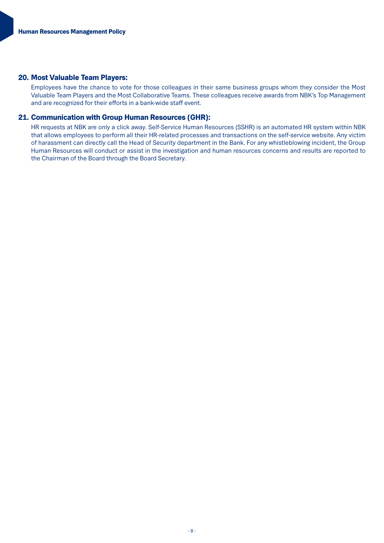# 20. Most Valuable Team Players:

Employees have the chance to vote for those colleagues in their same business groups whom they consider the Most Valuable Team Players and the Most Collaborative Teams. These colleagues receive awards from NBK's Top Management and are recognized for their efforts in a bank-wide staff event.

# 21. Communication with Group Human Resources (GHR):

HR requests at NBK are only a click away. Self-Service Human Resources (SSHR) is an automated HR system within NBK that allows employees to perform all their HR-related processes and transactions on the self-service website. Any victim of harassment can directly call the Head of Security department in the Bank. For any whistleblowing incident, the Group Human Resources will conduct or assist in the investigation and human resources concerns and results are reported to the Chairman of the Board through the Board Secretary.